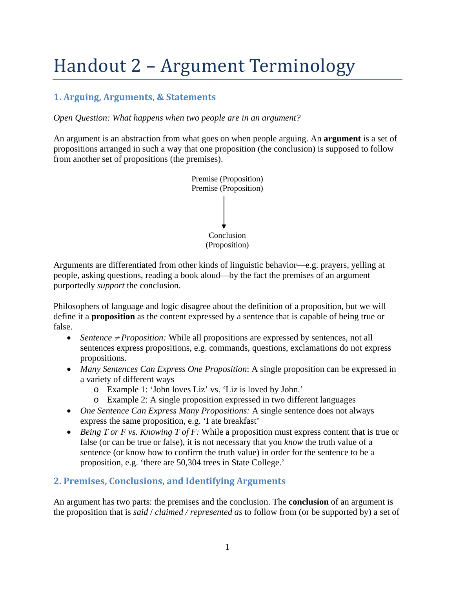# Handout 2 – Argument Terminology

# **1. Arguing, Arguments, & Statements**

*Open Question: What happens when two people are in an argument?* 

An argument is an abstraction from what goes on when people arguing. An **argument** is a set of propositions arranged in such a way that one proposition (the conclusion) is supposed to follow from another set of propositions (the premises).



Arguments are differentiated from other kinds of linguistic behavior—e.g. prayers, yelling at people, asking questions, reading a book aloud—by the fact the premises of an argument purportedly *support* the conclusion.

Philosophers of language and logic disagree about the definition of a proposition, but we will define it a **proposition** as the content expressed by a sentence that is capable of being true or false.

- *Sentence ≠ Proposition:* While all propositions are expressed by sentences, not all sentences express propositions, e.g. commands, questions, exclamations do not express propositions.
- *Many Sentences Can Express One Proposition*: A single proposition can be expressed in a variety of different ways
	- o Example 1: 'John loves Liz' vs. 'Liz is loved by John.'
	- o Example 2: A single proposition expressed in two different languages
- *One Sentence Can Express Many Propositions:* A single sentence does not always express the same proposition, e.g. 'I ate breakfast'
- *Being T or F vs. Knowing T of F:* While a proposition must express content that is true or false (or can be true or false), it is not necessary that you *know* the truth value of a sentence (or know how to confirm the truth value) in order for the sentence to be a proposition, e.g. 'there are 50,304 trees in State College.'

## **2. Premises, Conclusions, and Identifying Arguments**

An argument has two parts: the premises and the conclusion. The **conclusion** of an argument is the proposition that is *said* / *claimed / represented as* to follow from (or be supported by) a set of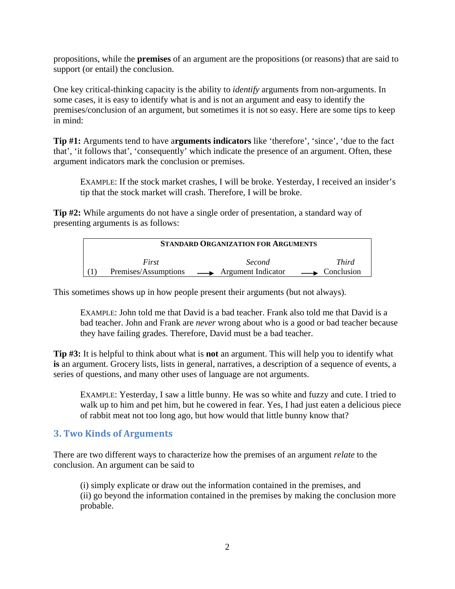propositions, while the **premises** of an argument are the propositions (or reasons) that are said to support (or entail) the conclusion.

One key critical-thinking capacity is the ability to *identify* arguments from non-arguments. In some cases, it is easy to identify what is and is not an argument and easy to identify the premises/conclusion of an argument, but sometimes it is not so easy. Here are some tips to keep in mind:

**Tip #1:** Arguments tend to have a**rguments indicators** like 'therefore', 'since', 'due to the fact that', 'it follows that', 'consequently' which indicate the presence of an argument. Often, these argument indicators mark the conclusion or premises.

EXAMPLE: If the stock market crashes, I will be broke. Yesterday, I received an insider's tip that the stock market will crash. Therefore, I will be broke.

**Tip #2:** While arguments do not have a single order of presentation, a standard way of presenting arguments is as follows:

| <b>STANDARD ORGANIZATION FOR ARGUMENTS</b> |                                           |                              |
|--------------------------------------------|-------------------------------------------|------------------------------|
| First                                      | <i>Second</i>                             | <i>Third</i>                 |
|                                            | Premises/Assumptions — Argument Indicator | $\longrightarrow$ Conclusion |

This sometimes shows up in how people present their arguments (but not always).

EXAMPLE: John told me that David is a bad teacher. Frank also told me that David is a bad teacher. John and Frank are *never* wrong about who is a good or bad teacher because they have failing grades. Therefore, David must be a bad teacher.

**Tip #3:** It is helpful to think about what is **not** an argument. This will help you to identify what **is** an argument. Grocery lists, lists in general, narratives, a description of a sequence of events, a series of questions, and many other uses of language are not arguments.

EXAMPLE: Yesterday, I saw a little bunny. He was so white and fuzzy and cute. I tried to walk up to him and pet him, but he cowered in fear. Yes, I had just eaten a delicious piece of rabbit meat not too long ago, but how would that little bunny know that?

## **3. Two Kinds of Arguments**

There are two different ways to characterize how the premises of an argument *relate* to the conclusion. An argument can be said to

(i) simply explicate or draw out the information contained in the premises, and (ii) go beyond the information contained in the premises by making the conclusion more probable.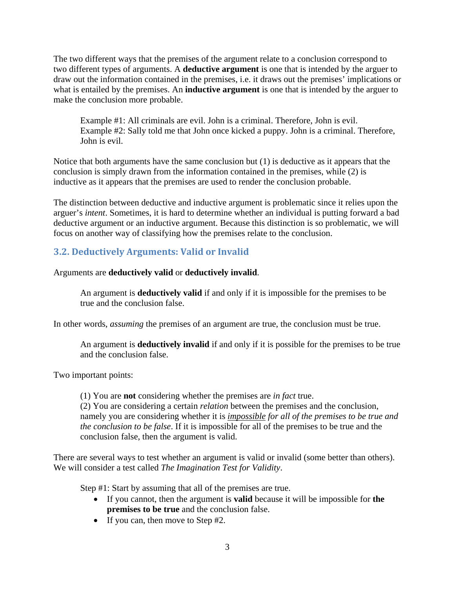The two different ways that the premises of the argument relate to a conclusion correspond to two different types of arguments. A **deductive argument** is one that is intended by the arguer to draw out the information contained in the premises, i.e. it draws out the premises' implications or what is entailed by the premises. An **inductive argument** is one that is intended by the arguer to make the conclusion more probable.

Example #1: All criminals are evil. John is a criminal. Therefore, John is evil. Example #2: Sally told me that John once kicked a puppy. John is a criminal. Therefore, John is evil.

Notice that both arguments have the same conclusion but (1) is deductive as it appears that the conclusion is simply drawn from the information contained in the premises, while (2) is inductive as it appears that the premises are used to render the conclusion probable.

The distinction between deductive and inductive argument is problematic since it relies upon the arguer's *intent*. Sometimes, it is hard to determine whether an individual is putting forward a bad deductive argument or an inductive argument. Because this distinction is so problematic, we will focus on another way of classifying how the premises relate to the conclusion.

# **3.2. Deductively Arguments: Valid or Invalid**

Arguments are **deductively valid** or **deductively invalid**.

An argument is **deductively valid** if and only if it is impossible for the premises to be true and the conclusion false.

In other words, *assuming* the premises of an argument are true, the conclusion must be true.

An argument is **deductively invalid** if and only if it is possible for the premises to be true and the conclusion false.

Two important points:

(1) You are **not** considering whether the premises are *in fact* true.

(2) You are considering a certain *relation* between the premises and the conclusion, namely you are considering whether it is *impossible for all of the premises to be true and the conclusion to be false*. If it is impossible for all of the premises to be true and the conclusion false, then the argument is valid.

There are several ways to test whether an argument is valid or invalid (some better than others). We will consider a test called *The Imagination Test for Validity*.

Step #1: Start by assuming that all of the premises are true.

- If you cannot, then the argument is **valid** because it will be impossible for **the premises to be true** and the conclusion false.
- If you can, then move to Step #2.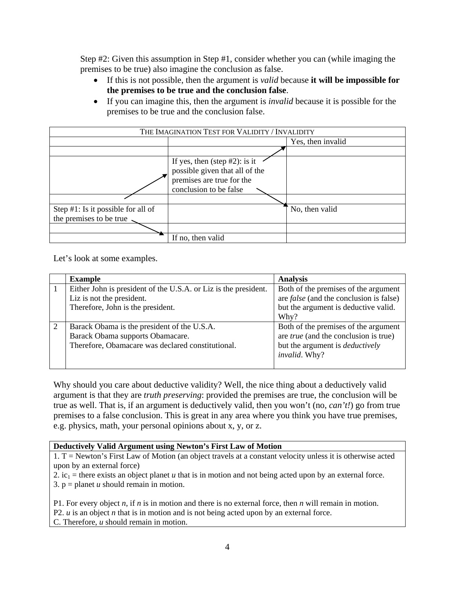Step #2: Given this assumption in Step #1, consider whether you can (while imaging the premises to be true) also imagine the conclusion as false.

- If this is not possible, then the argument is *valid* because **it will be impossible for the premises to be true and the conclusion false**.
- If you can imagine this, then the argument is *invalid* because it is possible for the premises to be true and the conclusion false.

| THE IMAGINATION TEST FOR VALIDITY / INVALIDITY |                                                                                                                           |                   |  |
|------------------------------------------------|---------------------------------------------------------------------------------------------------------------------------|-------------------|--|
|                                                |                                                                                                                           | Yes, then invalid |  |
|                                                |                                                                                                                           |                   |  |
|                                                | If yes, then (step $#2$ ): is it<br>possible given that all of the<br>premises are true for the<br>conclusion to be false |                   |  |
|                                                |                                                                                                                           |                   |  |
| Step $#1$ : Is it possible for all of          |                                                                                                                           | No, then valid    |  |
| the premises to be true                        |                                                                                                                           |                   |  |
|                                                |                                                                                                                           |                   |  |
|                                                | If no, then valid                                                                                                         |                   |  |

Let's look at some examples.

| <b>Example</b>                                                  | <b>Analysis</b>                                |
|-----------------------------------------------------------------|------------------------------------------------|
| Either John is president of the U.S.A. or Liz is the president. | Both of the premises of the argument           |
| Liz is not the president.                                       | are <i>false</i> (and the conclusion is false) |
| Therefore, John is the president.                               | but the argument is deductive valid.           |
|                                                                 | Why?                                           |
| Barack Obama is the president of the U.S.A.                     | Both of the premises of the argument           |
| Barack Obama supports Obamacare.                                | are <i>true</i> (and the conclusion is true)   |
| Therefore, Obamacare was declared constitutional.               | but the argument is <i>deductively</i>         |
|                                                                 | <i>invalid.</i> Why?                           |
|                                                                 |                                                |

Why should you care about deductive validity? Well, the nice thing about a deductively valid argument is that they are *truth preserving*: provided the premises are true, the conclusion will be true as well. That is, if an argument is deductively valid, then you won't (no, *can't!*) go from true premises to a false conclusion. This is great in any area where you think you have true premises, e.g. physics, math, your personal opinions about x, y, or z.

#### **Deductively Valid Argument using Newton's First Law of Motion**

1. T = Newton's First Law of Motion (an object travels at a constant velocity unless it is otherwise acted upon by an external force)

2. ic<sub>1</sub> = there exists an object planet *u* that is in motion and not being acted upon by an external force.

3.  $p =$  planet *u* should remain in motion.

P1. For every object *n*, if *n* is in motion and there is no external force, then *n* will remain in motion. P2. *u* is an object *n* that is in motion and is not being acted upon by an external force. C. Therefore, *u* should remain in motion.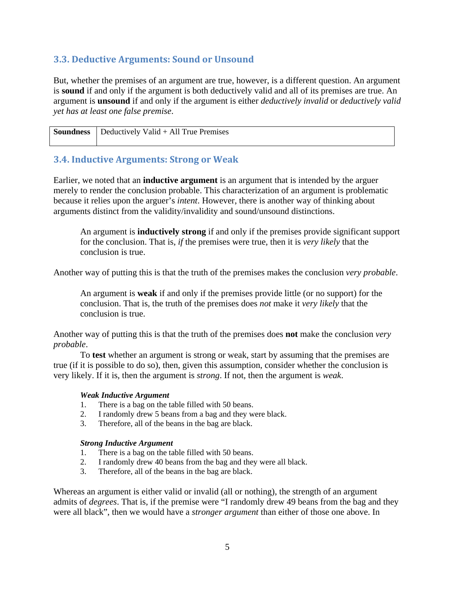## **3.3. Deductive Arguments: Sound or Unsound**

But, whether the premises of an argument are true, however, is a different question. An argument is **sound** if and only if the argument is both deductively valid and all of its premises are true. An argument is **unsound** if and only if the argument is either *deductively invalid* or *deductively valid yet has at least one false premise*.

| <b>Soundness</b> $\vert$ Deductively Valid + All True Premises |
|----------------------------------------------------------------|
|                                                                |

## **3.4. Inductive Arguments: Strong or Weak**

Earlier, we noted that an **inductive argument** is an argument that is intended by the arguer merely to render the conclusion probable. This characterization of an argument is problematic because it relies upon the arguer's *intent*. However, there is another way of thinking about arguments distinct from the validity/invalidity and sound/unsound distinctions.

An argument is **inductively strong** if and only if the premises provide significant support for the conclusion. That is, *if* the premises were true, then it is *very likely* that the conclusion is true.

Another way of putting this is that the truth of the premises makes the conclusion *very probable*.

An argument is **weak** if and only if the premises provide little (or no support) for the conclusion. That is, the truth of the premises does *not* make it *very likely* that the conclusion is true.

Another way of putting this is that the truth of the premises does **not** make the conclusion *very probable*.

To **test** whether an argument is strong or weak, start by assuming that the premises are true (if it is possible to do so), then, given this assumption, consider whether the conclusion is very likely. If it is, then the argument is *strong*. If not, then the argument is *weak*.

### *Weak Inductive Argument*

- 1. There is a bag on the table filled with 50 beans.
- 2. I randomly drew 5 beans from a bag and they were black.
- 3. Therefore, all of the beans in the bag are black.

#### *Strong Inductive Argument*

- 1. There is a bag on the table filled with 50 beans.
- 2. I randomly drew 40 beans from the bag and they were all black.
- 3. Therefore, all of the beans in the bag are black.

Whereas an argument is either valid or invalid (all or nothing), the strength of an argument admits of *degrees*. That is, if the premise were "I randomly drew 49 beans from the bag and they were all black", then we would have a *stronger argument* than either of those one above. In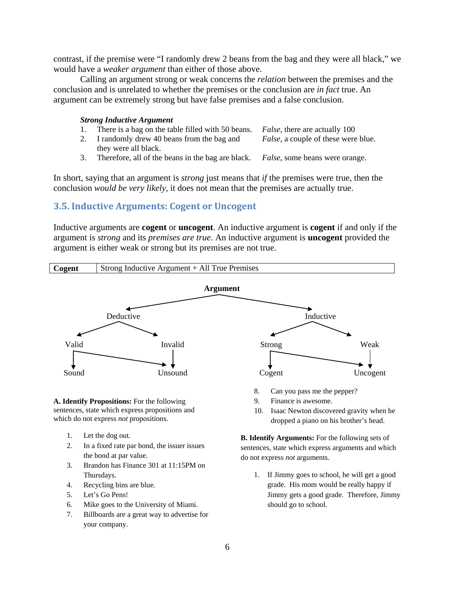contrast, if the premise were "I randomly drew 2 beans from the bag and they were all black," we would have a *weaker argument* than either of those above.

Calling an argument strong or weak concerns the *relation* between the premises and the conclusion and is unrelated to whether the premises or the conclusion are *in fact* true. An argument can be extremely strong but have false premises and a false conclusion.

#### *Strong Inductive Argument*

- 1. There is a bag on the table filled with 50 beans. *False*, there are actually 100 2. I randomly drew 40 beans from the bag and they were all black. *False*, a couple of these were blue. 3. Therefore, all of the beans in the bag are black. *False*, some beans were orange.
- 

In short, saying that an argument is *strong* just means that *if* the premises were true, then the conclusion *would be very likely*, it does not mean that the premises are actually true.

## **3.5. Inductive Arguments: Cogent or Uncogent**

Inductive arguments are **cogent** or **uncogent**. An inductive argument is **cogent** if and only if the argument is *strong* and its *premises are true*. An inductive argument is **uncogent** provided the argument is either weak or strong but its premises are not true.



7. Billboards are a great way to advertise for your company.